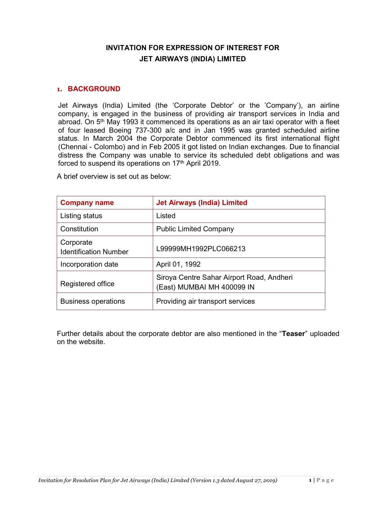## INVITATION FOR EXPRESSION OF INTEREST FOR JET AIRWAYS (INDIA) LIMITED

#### 1. BACKGROUND

Jet Airways (India) Limited (the 'Corporate Debtor' or the 'Company'), an airline company, is engaged in the business of providing air transport services in India and abroad. On 5<sup>th</sup> May 1993 it commenced its operations as an air taxi operator with a fleet of four leased Boeing 737-300 a/c and in Jan 1995 was granted scheduled airline status. In March 2004 the Corporate Debtor commenced its first international flight (Chennai - Colombo) and in Feb 2005 it got listed on Indian exchanges. Due to financial distress the Company was unable to service its scheduled debt obligations and was forced to suspend its operations on 17<sup>th</sup> April 2019.

A brief overview is set out as below:

| <b>Company name</b>                       | <b>Jet Airways (India) Limited</b>                                      |
|-------------------------------------------|-------------------------------------------------------------------------|
| Listing status                            | Listed                                                                  |
| Constitution                              | <b>Public Limited Company</b>                                           |
| Corporate<br><b>Identification Number</b> | L99999MH1992PLC066213                                                   |
| Incorporation date                        | April 01, 1992                                                          |
| Registered office                         | Siroya Centre Sahar Airport Road, Andheri<br>(East) MUMBAI MH 400099 IN |
| <b>Business operations</b>                | Providing air transport services                                        |

Further details about the corporate debtor are also mentioned in the "Teaser" uploaded on the website.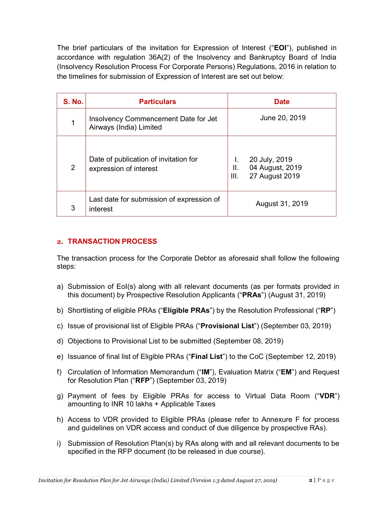The brief particulars of the invitation for Expression of Interest ("EOI"), published in accordance with regulation 36A(2) of the Insolvency and Bankruptcy Board of India (Insolvency Resolution Process For Corporate Persons) Regulations, 2016 in relation to the timelines for submission of Expression of Interest are set out below:

| <b>S. No.</b> | <b>Particulars</b>                                              | <b>Date</b>                                                      |
|---------------|-----------------------------------------------------------------|------------------------------------------------------------------|
| 1             | Insolvency Commencement Date for Jet<br>Airways (India) Limited | June 20, 2019                                                    |
| 2             | Date of publication of invitation for<br>expression of interest | 20 July, 2019<br>04 August, 2019<br>Ш.<br>27 August 2019<br>III. |
| 3             | Last date for submission of expression of<br>interest           | August 31, 2019                                                  |

## 2. TRANSACTION PROCESS

The transaction process for the Corporate Debtor as aforesaid shall follow the following steps:

- a) Submission of EoI(s) along with all relevant documents (as per formats provided in this document) by Prospective Resolution Applicants ("PRAs") (August 31, 2019)
- b) Shortlisting of eligible PRAs ("Eligible PRAs") by the Resolution Professional ("RP")
- c) Issue of provisional list of Eligible PRAs ("Provisional List") (September 03, 2019)
- d) Objections to Provisional List to be submitted (September 08, 2019)
- e) Issuance of final list of Eligible PRAs ("Final List") to the CoC (September 12, 2019)
- f) Circulation of Information Memorandum ("IM"), Evaluation Matrix ("EM") and Request for Resolution Plan ("RFP") (September 03, 2019)
- g) Payment of fees by Eligible PRAs for access to Virtual Data Room ("VDR") amounting to INR 10 lakhs + Applicable Taxes
- h) Access to VDR provided to Eligible PRAs (please refer to Annexure F for process and guidelines on VDR access and conduct of due diligence by prospective RAs).
- i) Submission of Resolution Plan(s) by RAs along with and all relevant documents to be specified in the RFP document (to be released in due course).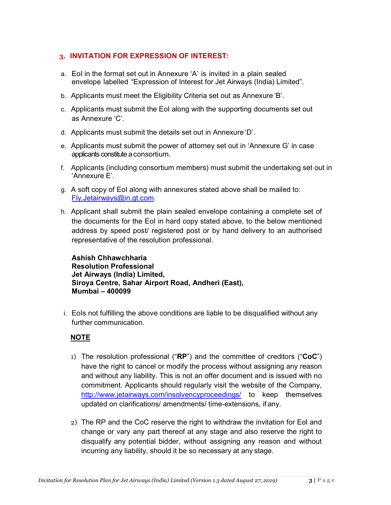#### 3. INVITATION FOR EXPRESSION OF INTEREST:

- a. EoI in the format set out in Annexure 'A' is invited in a plain sealed envelope labelled "Expression of Interest for Jet Airways (India) Limited".
- b. Applicants must meet the Eligibility Criteria set out as Annexure 'B'.
- c. Applicants must submit the EoI along with the supporting documents set out as Annexure 'C'.
- d. Applicants must submit the details set out in Annexure 'D'.
- e. Applicants must submit the power of attorney set out in 'Annexure G' in case applicants constitute a consortium.
- f. Applicants (including consortium members) must submit the undertaking set out in 'Annexure E'.
- g. A soft copy of EoI along with annexures stated above shall be mailed to: Fly.Jetairways@in.gt.com.
- h. Applicant shall submit the plain sealed envelope containing a complete set of the documents for the EoI in hard copy stated above, to the below mentioned address by speed post/ registered post or by hand delivery to an authorised representative of the resolution professional.

Ashish Chhawchharia Resolution Professional Jet Airways (India) Limited, Siroya Centre, Sahar Airport Road, Andheri (East), Mumbai – 400099

i. EoIs not fulfilling the above conditions are liable to be disqualified without any further communication.

## NOTE

- 1) The resolution professional (" $RP$ ") and the committee of creditors (" $CoC$ ") have the right to cancel or modify the process without assigning any reason and without any liability. This is not an offer document and is issued with no commitment. Applicants should regularly visit the website of the Company, http://www.jetairways.com/insolvencyproceedings/ to keep themselves updated on clarifications/ amendments/ time-extensions, if any.
- 2) The RP and the CoC reserve the right to withdraw the invitation for EoI and change or vary any part thereof at any stage and also reserve the right to disqualify any potential bidder, without assigning any reason and without incurring any liability, should it be so necessary at any stage.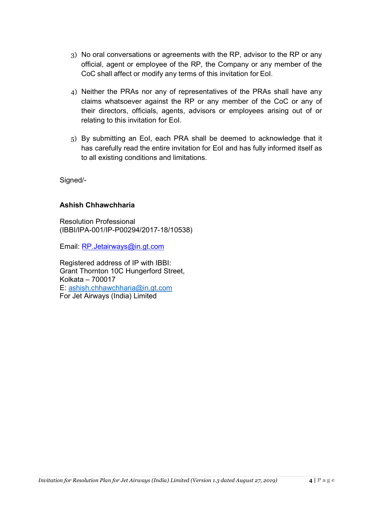- 3) No oral conversations or agreements with the RP, advisor to the RP or any official, agent or employee of the RP, the Company or any member of the CoC shall affect or modify any terms of this invitation for EoI.
- 4) Neither the PRAs nor any of representatives of the PRAs shall have any claims whatsoever against the RP or any member of the CoC or any of their directors, officials, agents, advisors or employees arising out of or relating to this invitation for EoI.
- 5) By submitting an EoI, each PRA shall be deemed to acknowledge that it has carefully read the entire invitation for EoI and has fully informed itself as to all existing conditions and limitations.

Signed/-

## Ashish Chhawchharia

Resolution Professional (IBBI/IPA-001/IP-P00294/2017-18/10538)

Email: RP.Jetairways@in.gt.com

Registered address of IP with IBBI: Grant Thornton 10C Hungerford Street, Kolkata – 700017 E: ashish.chhawchharia@in.gt.com For Jet Airways (India) Limited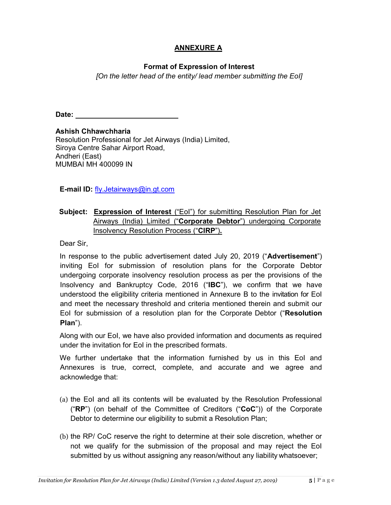## ANNEXURE A

#### Format of Expression of Interest

[On the letter head of the entity/ lead member submitting the EoI]

Date:

Ashish Chhawchharia Resolution Professional for Jet Airways (India) Limited, Siroya Centre Sahar Airport Road, Andheri (East) MUMBAI MH 400099 IN

E-mail ID: fly.Jetairways@in.gt.com

## Subject: Expression of Interest ("Eol") for submitting Resolution Plan for Jet Airways (India) Limited ("Corporate Debtor") undergoing Corporate Insolvency Resolution Process ("CIRP").

Dear Sir,

In response to the public advertisement dated July 20, 2019 ("Advertisement") inviting EoI for submission of resolution plans for the Corporate Debtor undergoing corporate insolvency resolution process as per the provisions of the Insolvency and Bankruptcy Code, 2016 ("IBC"), we confirm that we have understood the eligibility criteria mentioned in Annexure B to the invitation for EoI and meet the necessary threshold and criteria mentioned therein and submit our EoI for submission of a resolution plan for the Corporate Debtor ("Resolution Plan").

Along with our EoI, we have also provided information and documents as required under the invitation for EoI in the prescribed formats.

We further undertake that the information furnished by us in this EoI and Annexures is true, correct, complete, and accurate and we agree and acknowledge that:

- (a) the EoI and all its contents will be evaluated by the Resolution Professional ("RP") (on behalf of the Committee of Creditors ("CoC")) of the Corporate Debtor to determine our eligibility to submit a Resolution Plan;
- (b) the RP/ CoC reserve the right to determine at their sole discretion, whether or not we qualify for the submission of the proposal and may reject the EoI submitted by us without assigning any reason/without any liability whatsoever;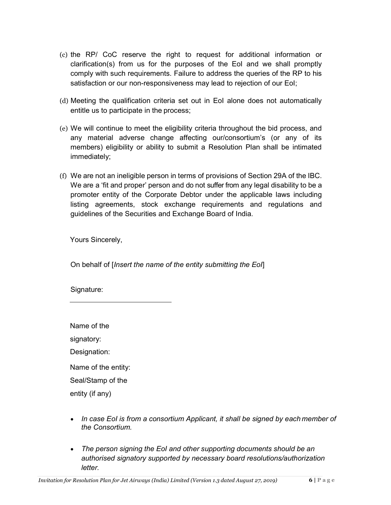- (c) the RP/ CoC reserve the right to request for additional information or clarification(s) from us for the purposes of the EoI and we shall promptly comply with such requirements. Failure to address the queries of the RP to his satisfaction or our non-responsiveness may lead to rejection of our EoI;
- (d) Meeting the qualification criteria set out in EoI alone does not automatically entitle us to participate in the process;
- (e) We will continue to meet the eligibility criteria throughout the bid process, and any material adverse change affecting our/consortium's (or any of its members) eligibility or ability to submit a Resolution Plan shall be intimated immediately;
- (f) We are not an ineligible person in terms of provisions of Section 29A of the IBC. We are a 'fit and proper' person and do not suffer from any legal disability to be a promoter entity of the Corporate Debtor under the applicable laws including listing agreements, stock exchange requirements and regulations and guidelines of the Securities and Exchange Board of India.

Yours Sincerely,

On behalf of [Insert the name of the entity submitting the EoI]

Signature:

Name of the signatory: Designation: Name of the entity: Seal/Stamp of the entity (if any)

- In case EoI is from a consortium Applicant, it shall be signed by each member of the Consortium.
- The person signing the EoI and other supporting documents should be an authorised signatory supported by necessary board resolutions/authorization letter.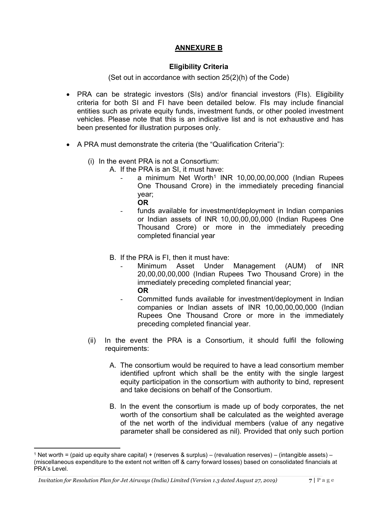## ANNEXURE B

#### Eligibility Criteria

(Set out in accordance with section 25(2)(h) of the Code)

- PRA can be strategic investors (SIs) and/or financial investors (FIs). Eligibility criteria for both SI and FI have been detailed below. FIs may include financial entities such as private equity funds, investment funds, or other pooled investment vehicles. Please note that this is an indicative list and is not exhaustive and has been presented for illustration purposes only.
- A PRA must demonstrate the criteria (the "Qualification Criteria"):
	- (i) In the event PRA is not a Consortium:
		- A. If the PRA is an SI, it must have:
			- a minimum Net Worth<sup>1</sup> INR 10,00,00,00,000 (Indian Rupees One Thousand Crore) in the immediately preceding financial year;
				- OR
			- funds available for investment/deployment in Indian companies or Indian assets of INR 10,00,00,00,000 (Indian Rupees One Thousand Crore) or more in the immediately preceding completed financial year
		- B. If the PRA is FI, then it must have:
			- Minimum Asset Under Management (AUM) of INR 20,00,00,00,000 (Indian Rupees Two Thousand Crore) in the immediately preceding completed financial year; OR
				- Committed funds available for investment/deployment in Indian companies or Indian assets of INR 10,00,00,00,000 (Indian Rupees One Thousand Crore or more in the immediately preceding completed financial year.
	- (ii) In the event the PRA is a Consortium, it should fulfil the following requirements:
		- A. The consortium would be required to have a lead consortium member identified upfront which shall be the entity with the single largest equity participation in the consortium with authority to bind, represent and take decisions on behalf of the Consortium.
		- B. In the event the consortium is made up of body corporates, the net worth of the consortium shall be calculated as the weighted average of the net worth of the individual members (value of any negative parameter shall be considered as nil). Provided that only such portion

-

<sup>1</sup> Net worth = (paid up equity share capital) + (reserves & surplus) – (revaluation reserves) – (intangible assets) – (miscellaneous expenditure to the extent not written off & carry forward losses) based on consolidated financials at PRA's Level.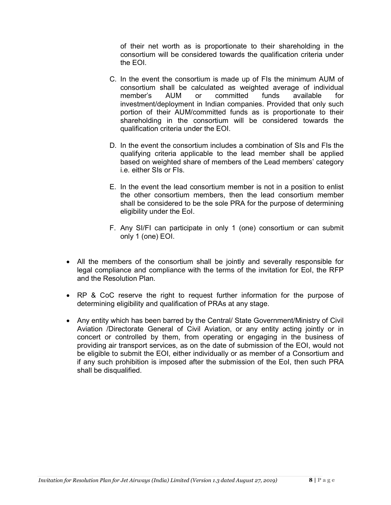of their net worth as is proportionate to their shareholding in the consortium will be considered towards the qualification criteria under the EOI.

- C. In the event the consortium is made up of FIs the minimum AUM of consortium shall be calculated as weighted average of individual member's AUM or committed funds available for investment/deployment in Indian companies. Provided that only such portion of their AUM/committed funds as is proportionate to their shareholding in the consortium will be considered towards the qualification criteria under the EOI.
- D. In the event the consortium includes a combination of SIs and FIs the qualifying criteria applicable to the lead member shall be applied based on weighted share of members of the Lead members' category i.e. either SIs or FIs.
- E. In the event the lead consortium member is not in a position to enlist the other consortium members, then the lead consortium member shall be considered to be the sole PRA for the purpose of determining eligibility under the EoI.
- F. Any SI/FI can participate in only 1 (one) consortium or can submit only 1 (one) EOI.
- All the members of the consortium shall be jointly and severally responsible for legal compliance and compliance with the terms of the invitation for EoI, the RFP and the Resolution Plan.
- RP & CoC reserve the right to request further information for the purpose of determining eligibility and qualification of PRAs at any stage.
- Any entity which has been barred by the Central/ State Government/Ministry of Civil Aviation /Directorate General of Civil Aviation, or any entity acting jointly or in concert or controlled by them, from operating or engaging in the business of providing air transport services, as on the date of submission of the EOI, would not be eligible to submit the EOI, either individually or as member of a Consortium and if any such prohibition is imposed after the submission of the EoI, then such PRA shall be disqualified.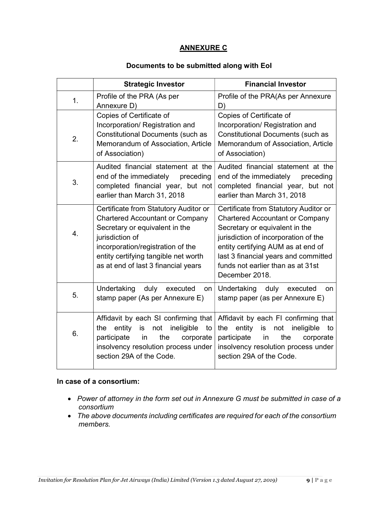#### ANNEXURE C

#### Documents to be submitted along with EoI

|    | <b>Strategic Investor</b>                                                                                                                                                                                                                                | <b>Financial Investor</b>                                                                                                                                                                                                                                                                      |
|----|----------------------------------------------------------------------------------------------------------------------------------------------------------------------------------------------------------------------------------------------------------|------------------------------------------------------------------------------------------------------------------------------------------------------------------------------------------------------------------------------------------------------------------------------------------------|
| 1. | Profile of the PRA (As per<br>Annexure D)                                                                                                                                                                                                                | Profile of the PRA(As per Annexure<br>D)                                                                                                                                                                                                                                                       |
| 2. | Copies of Certificate of<br>Incorporation/ Registration and<br><b>Constitutional Documents (such as</b><br>Memorandum of Association, Article<br>of Association)                                                                                         | Copies of Certificate of<br>Incorporation/ Registration and<br><b>Constitutional Documents (such as</b><br>Memorandum of Association, Article<br>of Association)                                                                                                                               |
| 3. | Audited financial statement at the<br>end of the immediately preceding<br>completed financial year, but not<br>earlier than March 31, 2018                                                                                                               | Audited financial statement at the<br>end of the immediately<br>preceding<br>completed financial year, but not<br>earlier than March 31, 2018                                                                                                                                                  |
| 4. | Certificate from Statutory Auditor or<br><b>Chartered Accountant or Company</b><br>Secretary or equivalent in the<br>jurisdiction of<br>incorporation/registration of the<br>entity certifying tangible net worth<br>as at end of last 3 financial years | Certificate from Statutory Auditor or<br><b>Chartered Accountant or Company</b><br>Secretary or equivalent in the<br>jurisdiction of incorporation of the<br>entity certifying AUM as at end of<br>last 3 financial years and committed<br>funds not earlier than as at 31st<br>December 2018. |
| 5. | Undertaking<br>duly<br>executed<br>on<br>stamp paper (As per Annexure E)                                                                                                                                                                                 | Undertaking<br>duly<br>executed<br>on<br>stamp paper (as per Annexure E)                                                                                                                                                                                                                       |
| 6. | Affidavit by each SI confirming that<br>ineligible<br>entity is<br>not<br>the<br>to<br>the<br>participate<br>in<br>corporate<br>insolvency resolution process under<br>section 29A of the Code.                                                          | Affidavit by each FI confirming that<br>entity<br>the<br>is<br>not<br>ineligible<br>to<br>participate<br>the<br>in<br>corporate<br>insolvency resolution process under<br>section 29A of the Code.                                                                                             |

#### In case of a consortium:

- Power of attorney in the form set out in Annexure G must be submitted in case of a consortium
- The above documents including certificates are required for each of the consortium members.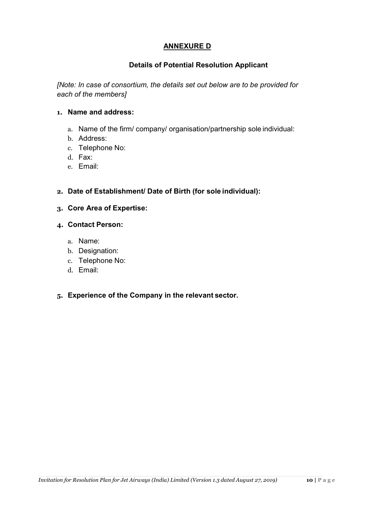## ANNEXURE D

## Details of Potential Resolution Applicant

[Note: In case of consortium, the details set out below are to be provided for each of the members]

#### 1. Name and address:

- a. Name of the firm/ company/ organisation/partnership sole individual:
- b. Address:
- c. Telephone No:
- d. Fax:
- e. Email:

#### 2. Date of Establishment/ Date of Birth (for sole individual):

3. Core Area of Expertise:

#### 4. Contact Person:

- a. Name:
- b. Designation:
- c. Telephone No:
- d. Email:

#### 5. Experience of the Company in the relevant sector.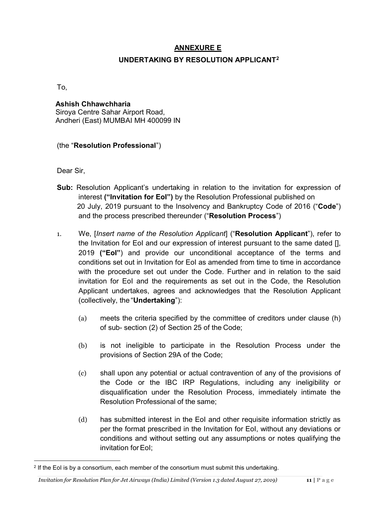## ANNEXURE E

## UNDERTAKING BY RESOLUTION APPLICANT<sup>2</sup>

To,

# Ashish Chhawchharia

Siroya Centre Sahar Airport Road, Andheri (East) MUMBAI MH 400099 IN

## (the "Resolution Professional")

Dear Sir,

-

- Sub: Resolution Applicant's undertaking in relation to the invitation for expression of interest ("Invitation for Eol") by the Resolution Professional published on 20 July, 2019 pursuant to the Insolvency and Bankruptcy Code of 2016 ("Code") and the process prescribed thereunder ("Resolution Process")
- 1. We, [Insert name of the Resolution Applicant] ("Resolution Applicant"), refer to the Invitation for EoI and our expression of interest pursuant to the same dated [], 2019 ("EoI") and provide our unconditional acceptance of the terms and conditions set out in Invitation for EoI as amended from time to time in accordance with the procedure set out under the Code. Further and in relation to the said invitation for EoI and the requirements as set out in the Code, the Resolution Applicant undertakes, agrees and acknowledges that the Resolution Applicant (collectively, the "Undertaking"):
	- (a) meets the criteria specified by the committee of creditors under clause (h) of sub- section (2) of Section 25 of the Code;
	- (b) is not ineligible to participate in the Resolution Process under the provisions of Section 29A of the Code;
	- (c) shall upon any potential or actual contravention of any of the provisions of the Code or the IBC IRP Regulations, including any ineligibility or disqualification under the Resolution Process, immediately intimate the Resolution Professional of the same;
	- (d) has submitted interest in the EoI and other requisite information strictly as per the format prescribed in the Invitation for EoI, without any deviations or conditions and without setting out any assumptions or notes qualifying the invitation for EoI;

<sup>2</sup> If the EoI is by a consortium, each member of the consortium must submit this undertaking.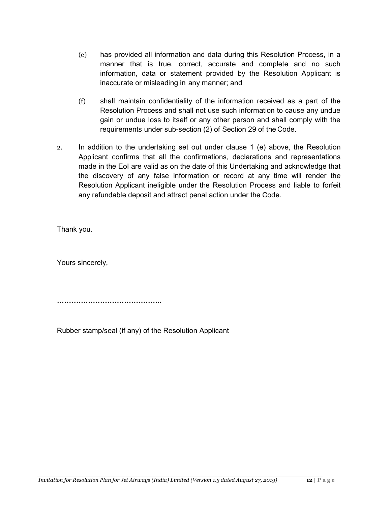- (e) has provided all information and data during this Resolution Process, in a manner that is true, correct, accurate and complete and no such information, data or statement provided by the Resolution Applicant is inaccurate or misleading in any manner; and
- (f) shall maintain confidentiality of the information received as a part of the Resolution Process and shall not use such information to cause any undue gain or undue loss to itself or any other person and shall comply with the requirements under sub-section (2) of Section 29 of the Code.
- 2. In addition to the undertaking set out under clause 1 (e) above, the Resolution Applicant confirms that all the confirmations, declarations and representations made in the EoI are valid as on the date of this Undertaking and acknowledge that the discovery of any false information or record at any time will render the Resolution Applicant ineligible under the Resolution Process and liable to forfeit any refundable deposit and attract penal action under the Code.

Thank you.

Yours sincerely,

……………………………………..

Rubber stamp/seal (if any) of the Resolution Applicant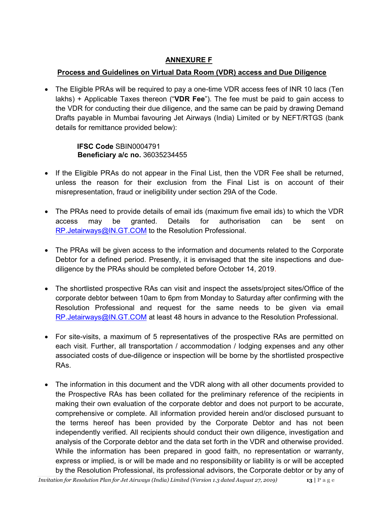## ANNEXURE F

## Process and Guidelines on Virtual Data Room (VDR) access and Due Diligence

 The Eligible PRAs will be required to pay a one-time VDR access fees of INR 10 lacs (Ten lakhs) + Applicable Taxes thereon ("VDR Fee"). The fee must be paid to gain access to the VDR for conducting their due diligence, and the same can be paid by drawing Demand Drafts payable in Mumbai favouring Jet Airways (India) Limited or by NEFT/RTGS (bank details for remittance provided below):

> IFSC Code SBIN0004791 Beneficiary a/c no. 36035234455

- If the Eligible PRAs do not appear in the Final List, then the VDR Fee shall be returned, unless the reason for their exclusion from the Final List is on account of their misrepresentation, fraud or ineligibility under section 29A of the Code.
- The PRAs need to provide details of email ids (maximum five email ids) to which the VDR access may be granted. Details for authorisation can be sent on RP.Jetairways@IN.GT.COM to the Resolution Professional.
- The PRAs will be given access to the information and documents related to the Corporate Debtor for a defined period. Presently, it is envisaged that the site inspections and duediligence by the PRAs should be completed before October 14, 2019.
- The shortlisted prospective RAs can visit and inspect the assets/project sites/Office of the corporate debtor between 10am to 6pm from Monday to Saturday after confirming with the Resolution Professional and request for the same needs to be given via email RP.Jetairways@IN.GT.COM at least 48 hours in advance to the Resolution Professional.
- For site-visits, a maximum of 5 representatives of the prospective RAs are permitted on each visit. Further, all transportation / accommodation / lodging expenses and any other associated costs of due-diligence or inspection will be borne by the shortlisted prospective RAs.
- The information in this document and the VDR along with all other documents provided to the Prospective RAs has been collated for the preliminary reference of the recipients in making their own evaluation of the corporate debtor and does not purport to be accurate, comprehensive or complete. All information provided herein and/or disclosed pursuant to the terms hereof has been provided by the Corporate Debtor and has not been independently verified. All recipients should conduct their own diligence, investigation and analysis of the Corporate debtor and the data set forth in the VDR and otherwise provided. While the information has been prepared in good faith, no representation or warranty, express or implied, is or will be made and no responsibility or liability is or will be accepted by the Resolution Professional, its professional advisors, the Corporate debtor or by any of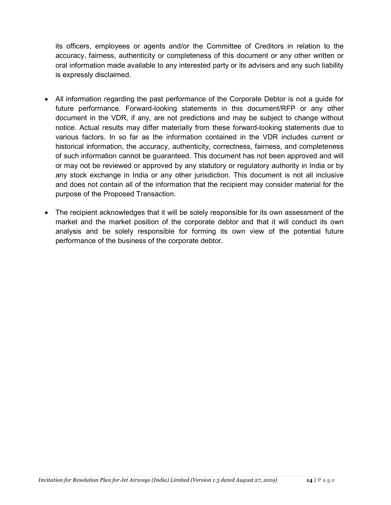its officers, employees or agents and/or the Committee of Creditors in relation to the accuracy, fairness, authenticity or completeness of this document or any other written or oral information made available to any interested party or its advisers and any such liability is expressly disclaimed.

- All information regarding the past performance of the Corporate Debtor is not a guide for future performance. Forward-looking statements in this document/RFP or any other document in the VDR, if any, are not predictions and may be subject to change without notice. Actual results may differ materially from these forward-looking statements due to various factors. In so far as the information contained in the VDR includes current or historical information, the accuracy, authenticity, correctness, fairness, and completeness of such information cannot be guaranteed. This document has not been approved and will or may not be reviewed or approved by any statutory or regulatory authority in India or by any stock exchange in India or any other jurisdiction. This document is not all inclusive and does not contain all of the information that the recipient may consider material for the purpose of the Proposed Transaction.
- The recipient acknowledges that it will be solely responsible for its own assessment of the market and the market position of the corporate debtor and that it will conduct its own analysis and be solely responsible for forming its own view of the potential future performance of the business of the corporate debtor.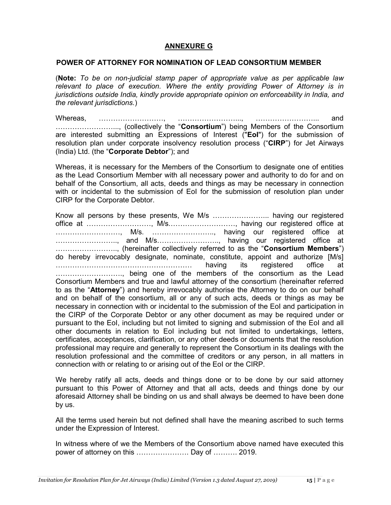#### ANNEXURE G

#### POWER OF ATTORNEY FOR NOMINATION OF LEAD CONSORTIUM MEMBER

(Note: To be on non-judicial stamp paper of appropriate value as per applicable law relevant to place of execution. Where the entity providing Power of Attorney is in jurisdictions outside India, kindly provide appropriate opinion on enforceability in India, and the relevant jurisdictions.)

Whereas, ………………………, ……………………..., ……………………... and ……………………..., (collectively the "Consortium") being Members of the Consortium are interested submitting an Expressions of Interest ("EoI") for the submission of resolution plan under corporate insolvency resolution process ("CIRP") for Jet Airways (India) Ltd. (the "Corporate Debtor"); and

Whereas, it is necessary for the Members of the Consortium to designate one of entities as the Lead Consortium Member with all necessary power and authority to do for and on behalf of the Consortium, all acts, deeds and things as may be necessary in connection with or incidental to the submission of EoI for the submission of resolution plan under CIRP for the Corporate Debtor.

Know all persons by these presents, We M/s …………………... having our registered office at ………………………, M/s.………………………, having our registered office at ………………………, M/s. …………………….., having our registered office at …………………….., and M/s…………………….., having our registered office at …………………….., (hereinafter collectively referred to as the "Consortium Members") do hereby irrevocably designate, nominate, constitute, appoint and authorize [M/s] ………………………………………………… having its registered office at ………………………., being one of the members of the consortium as the Lead Consortium Members and true and lawful attorney of the consortium (hereinafter referred to as the "**Attorney**") and hereby irrevocably authorise the Attorney to do on our behalf and on behalf of the consortium, all or any of such acts, deeds or things as may be necessary in connection with or incidental to the submission of the EoI and participation in the CIRP of the Corporate Debtor or any other document as may be required under or pursuant to the EoI, including but not limited to signing and submission of the EoI and all other documents in relation to EoI including but not limited to undertakings, letters, certificates, acceptances, clarification, or any other deeds or documents that the resolution professional may require and generally to represent the Consortium in its dealings with the resolution professional and the committee of creditors or any person, in all matters in connection with or relating to or arising out of the EoI or the CIRP.

We hereby ratify all acts, deeds and things done or to be done by our said attorney pursuant to this Power of Attorney and that all acts, deeds and things done by our aforesaid Attorney shall be binding on us and shall always be deemed to have been done by us.

All the terms used herein but not defined shall have the meaning ascribed to such terms under the Expression of Interest.

In witness where of we the Members of the Consortium above named have executed this power of attorney on this …………………. Day of ………. 2019.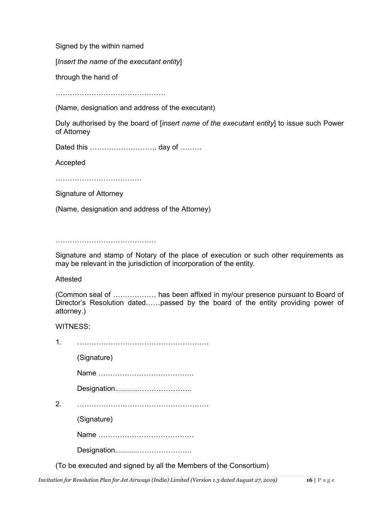Signed by the within named

[Insert the name of the executant entity]

through the hand of

……………………………………………

(Name, designation and address of the executant)

Duly authorised by the board of [insert name of the executant entity] to issue such Power of Attorney

Dated this ………………………. day of ………

Accepted

…………………………………………

Signature of Attorney

(Name, designation and address of the Attorney)

……………………………………………

Signature and stamp of Notary of the place of execution or such other requirements as may be relevant in the jurisdiction of incorporation of the entity.

Attested

|            | (Common seal of  has been affixed in my/our presence pursuant to Board of       |  |  |  |  |  |  |
|------------|---------------------------------------------------------------------------------|--|--|--|--|--|--|
|            | Director's Resolution datedpassed by the board of the entity providing power of |  |  |  |  |  |  |
| attorney.) |                                                                                 |  |  |  |  |  |  |

the Consortium)

WITNESS:

|               | (Signature)                                      |
|---------------|--------------------------------------------------|
|               |                                                  |
|               |                                                  |
| $\mathcal{P}$ |                                                  |
|               | (Signature)                                      |
|               |                                                  |
|               |                                                  |
|               | (To be executed and signed by all the Members of |